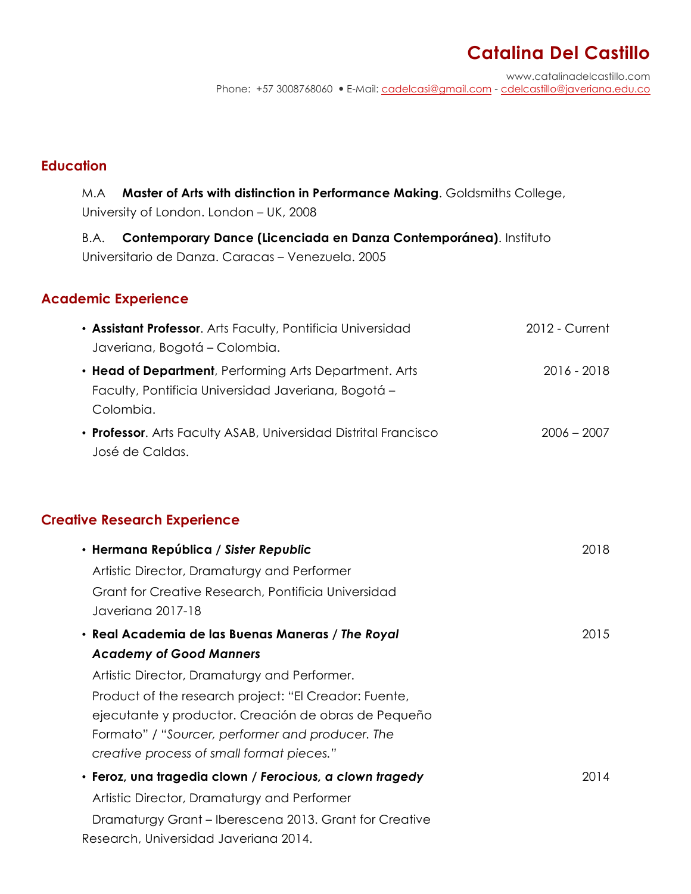# **Catalina Del Castillo**

www.catalinadelcastillo.com Phone: +57 3008768060 E-Mail: cadelcasi@gmail.com - cdelcastillo@javeriana.edu.co

#### **Education**

M.A **Master of Arts with distinction in Performance Making**. Goldsmiths College, University of London. London – UK, 2008

B.A. **Contemporary Dance (Licenciada en Danza Contemporánea)**. Instituto Universitario de Danza. Caracas – Venezuela. 2005

#### **Academic Experience**

| • Assistant Professor. Arts Faculty, Pontificia Universidad     | 2012 - Current |
|-----------------------------------------------------------------|----------------|
| Javeriana, Bogotá – Colombia.                                   |                |
| • Head of Department, Performing Arts Department. Arts          | 2016 - 2018    |
| Faculty, Pontificia Universidad Javeriana, Bogotá -             |                |
| Colombia.                                                       |                |
| • Professor. Arts Faculty ASAB, Universidad Distrital Francisco | $2006 - 2007$  |
| José de Caldas.                                                 |                |

### **Creative Research Experience**

| • Hermana República / Sister Republic                                                                                                                                                                          | 2018 |
|----------------------------------------------------------------------------------------------------------------------------------------------------------------------------------------------------------------|------|
| Artistic Director, Dramaturgy and Performer                                                                                                                                                                    |      |
| Grant for Creative Research, Pontificia Universidad<br>Javeriana 2017-18                                                                                                                                       |      |
| • Real Academia de las Buenas Maneras / The Royal                                                                                                                                                              | 2015 |
| <b>Academy of Good Manners</b>                                                                                                                                                                                 |      |
| Artistic Director, Dramaturgy and Performer.                                                                                                                                                                   |      |
| Product of the research project: "El Creador: Fuente,<br>ejecutante y productor. Creación de obras de Pequeño<br>Formato" / "Sourcer, performer and producer. The<br>creative process of small format pieces." |      |
| · Feroz, una tragedia clown / Ferocious, a clown tragedy                                                                                                                                                       | 2014 |
| Artistic Director, Dramaturgy and Performer                                                                                                                                                                    |      |
| Dramaturgy Grant – Iberescena 2013. Grant for Creative<br>Research, Universidad Javeriana 2014.                                                                                                                |      |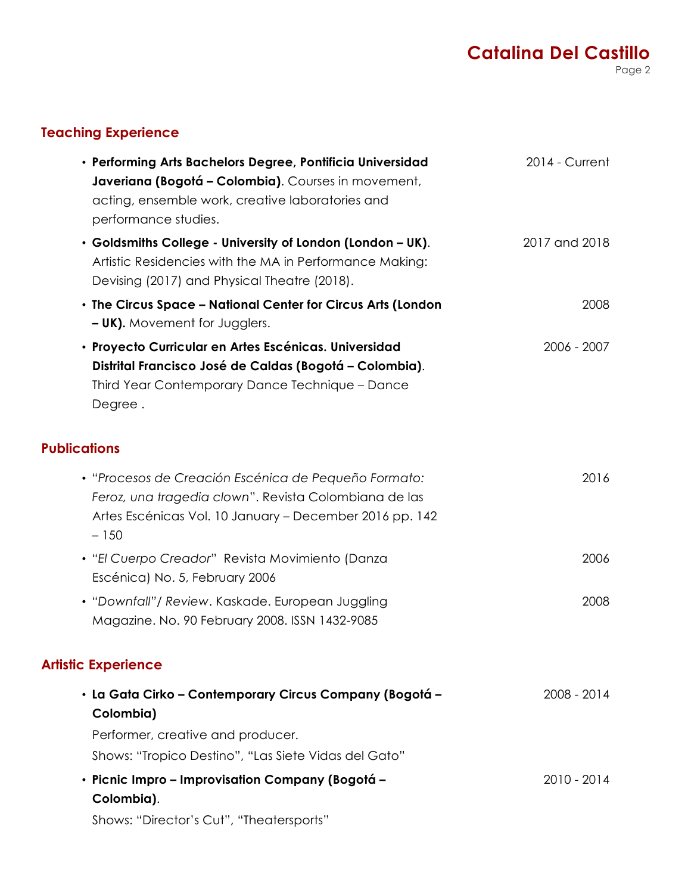## **Catalina Del Castillo** Page 2

## **Teaching Experience**

| · Performing Arts Bachelors Degree, Pontificia Universidad<br>Javeriana (Bogotá - Colombia). Courses in movement,<br>acting, ensemble work, creative laboratories and<br>performance studies. | 2014 - Current |
|-----------------------------------------------------------------------------------------------------------------------------------------------------------------------------------------------|----------------|
| • Goldsmiths College - University of London (London - UK).<br>Artistic Residencies with the MA in Performance Making:<br>Devising (2017) and Physical Theatre (2018).                         | 2017 and 2018  |
| • The Circus Space - National Center for Circus Arts (London<br><b>- UK).</b> Movement for Jugglers.                                                                                          | 2008           |
| · Proyecto Curricular en Artes Escénicas. Universidad<br>Distrital Francisco José de Caldas (Bogotá - Colombia).<br>Third Year Contemporary Dance Technique - Dance<br>Degree.                | 2006 - 2007    |
| <b>Publications</b>                                                                                                                                                                           |                |
| · "Procesos de Creación Escénica de Pequeño Formato:<br>Feroz, una tragedia clown". Revista Colombiana de las<br>Artes Escénicas Vol. 10 January – December 2016 pp. 142<br>$-150$            | 2016           |
| • "El Cuerpo Creador" Revista Movimiento (Danza<br>Escénica) No. 5, February 2006                                                                                                             | 2006           |
| • "Downfall"/ Review. Kaskade. European Juggling<br>Magazine. No. 90 February 2008. ISSN 1432-9085                                                                                            | 2008           |
| <b>Artistic Experience</b>                                                                                                                                                                    |                |
| · La Gata Cirko - Contemporary Circus Company (Bogotá -<br>Colombia)<br>Performer, creative and producer.<br>Shows: "Tropico Destino", "Las Siete Vidas del Gato"                             | 2008 - 2014    |
| · Picnic Impro - Improvisation Company (Bogotá -<br>Colombia).                                                                                                                                | 2010 - 2014    |
| Shows: "Director's Cut", "Theatersports"                                                                                                                                                      |                |